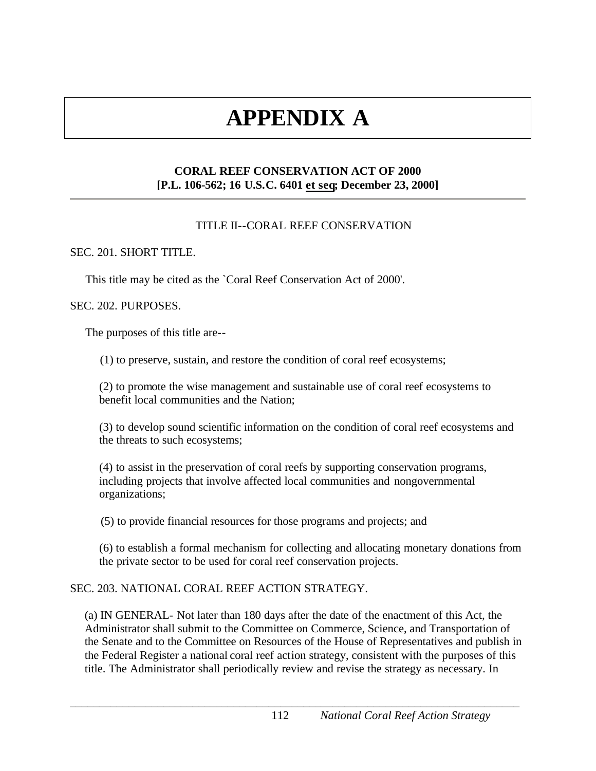# **APPENDIX A**

# **CORAL REEF CONSERVATION ACT OF 2000 [P.L. 106-562; 16 U.S.C. 6401 et seq; December 23, 2000]**

# TITLE II--CORAL REEF CONSERVATION

## SEC. 201. SHORT TITLE.

This title may be cited as the `Coral Reef Conservation Act of 2000'.

## SEC. 202. PURPOSES.

The purposes of this title are--

(1) to preserve, sustain, and restore the condition of coral reef ecosystems;

(2) to promote the wise management and sustainable use of coral reef ecosystems to benefit local communities and the Nation;

(3) to develop sound scientific information on the condition of coral reef ecosystems and the threats to such ecosystems;

(4) to assist in the preservation of coral reefs by supporting conservation programs, including projects that involve affected local communities and nongovernmental organizations;

(5) to provide financial resources for those programs and projects; and

(6) to establish a formal mechanism for collecting and allocating monetary donations from the private sector to be used for coral reef conservation projects.

## SEC. 203. NATIONAL CORAL REEF ACTION STRATEGY.

(a) IN GENERAL- Not later than 180 days after the date of the enactment of this Act, the Administrator shall submit to the Committee on Commerce, Science, and Transportation of the Senate and to the Committee on Resources of the House of Representatives and publish in the Federal Register a national coral reef action strategy, consistent with the purposes of this title. The Administrator shall periodically review and revise the strategy as necessary. In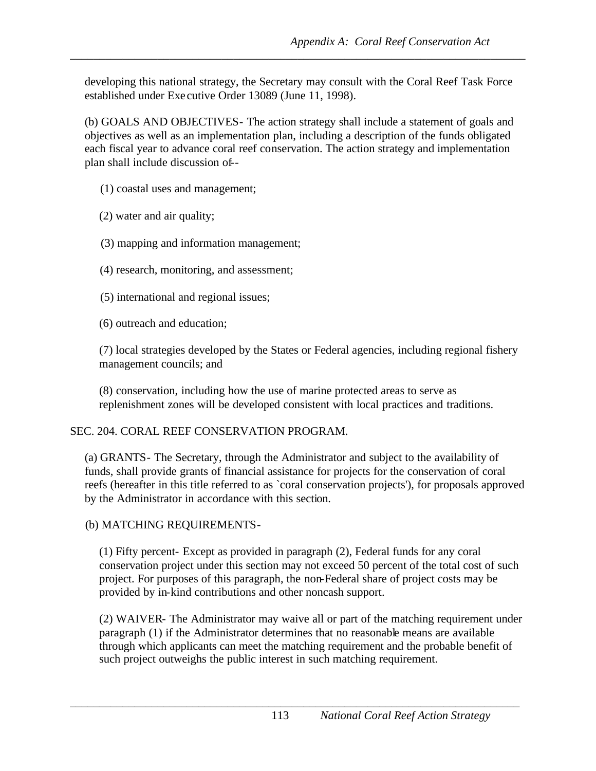developing this national strategy, the Secretary may consult with the Coral Reef Task Force established under Exe cutive Order 13089 (June 11, 1998).

*\_\_\_\_\_\_\_\_\_\_\_\_\_\_\_\_\_\_\_\_\_\_\_\_\_\_\_\_\_\_\_\_\_\_\_\_\_\_\_\_\_\_\_\_\_\_\_\_\_\_\_\_\_\_\_\_\_\_\_\_\_\_\_\_\_\_\_\_\_\_\_\_\_\_\_\_\_\_* 

*Appendix A: Coral Reef Conservation Act*<br>developing this national strategy, the Secretary may consult with the Coral Reef Task Force<br>equilibelical under lacerative Order 13889 Olme 11.1998).<br>
Appendix As implementation pl (b) GOALS AND OBJECTIVES- The action strategy shall include a statement of goals and objectives as well as an implementation plan, including a description of the funds obligated each fiscal year to advance coral reef conservation. The action strategy and implementation plan shall include discussion of--

- (1) coastal uses and management;
- (2) water and air quality;
- (3) mapping and information management;
- (4) research, monitoring, and assessment;
- (5) international and regional issues;
- (6) outreach and education;

(7) local strategies developed by the States or Federal agencies, including regional fishery management councils; and

 replenishment zones will be developed consistent with local practices and traditions. (8) conservation, including how the use of marine protected areas to serve as

# SEC. 204. CORAL REEF CONSERVATION PROGRAM.

(a) GRANTS- The Secretary, through the Administrator and subject to the availability of funds, shall provide grants of financial assistance for projects for the conservation of coral reefs (hereafter in this title referred to as `coral conservation projects'), for proposals approved by the Administrator in accordance with this section.

# (b) MATCHING REQUIREMENTS-

(1) Fifty percent- Except as provided in paragraph (2), Federal funds for any coral conservation project under this section may not exceed 50 percent of the total cost of such project. For purposes of this paragraph, the non-Federal share of project costs may be provided by in-kind contributions and other noncash support.

(2) WAIVER- The Administrator may waive all or part of the matching requirement under paragraph (1) if the Administrator determines that no reasonable means are available through which applicants can meet the matching requirement and the probable benefit of such project outweighs the public interest in such matching requirement.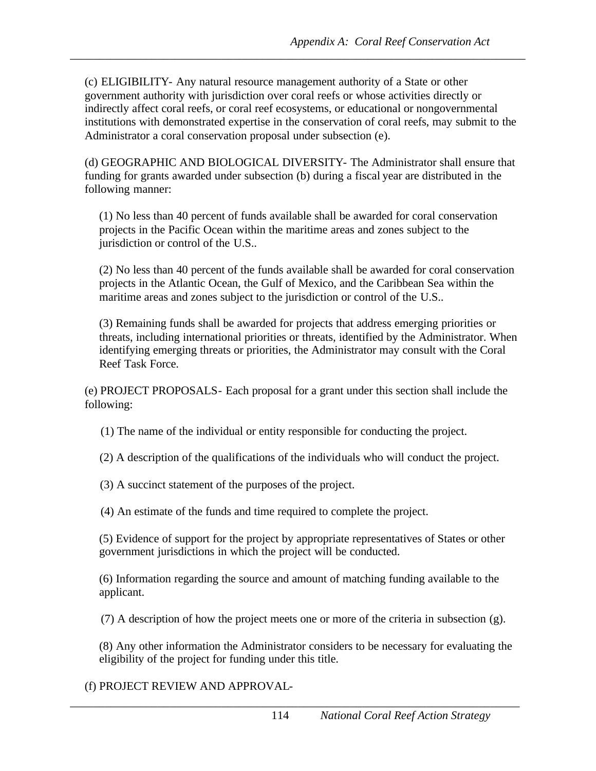*Appendix A: Coral Reef Conservation Act*<br>(c) FLIGHBILITY- Any nutural resource management authority of a Statis or other<br>procedured to the principal method on the conservative follows to the<br>one and trial conservative dur (c) ELIGIBILITY- Any natural resource management authority of a State or other government authority with jurisdiction over coral reefs or whose activities directly or indirectly affect coral reefs, or coral reef ecosystems, or educational or nongovernmental institutions with demonstrated expertise in the conservation of coral reefs, may submit to the Administrator a coral conservation proposal under subsection (e).

*\_\_\_\_\_\_\_\_\_\_\_\_\_\_\_\_\_\_\_\_\_\_\_\_\_\_\_\_\_\_\_\_\_\_\_\_\_\_\_\_\_\_\_\_\_\_\_\_\_\_\_\_\_\_\_\_\_\_\_\_\_\_\_\_\_\_\_\_\_\_\_\_\_\_\_\_\_\_* 

(d) GEOGRAPHIC AND BIOLOGICAL DIVERSITY- The Administrator shall ensure that funding for grants awarded under subsection (b) during a fiscal year are distributed in the following manner:

(1) No less than 40 percent of funds available shall be awarded for coral conservation projects in the Pacific Ocean within the maritime areas and zones subject to the jurisdiction or control of the U.S..

(2) No less than 40 percent of the funds available shall be awarded for coral conservation projects in the Atlantic Ocean, the Gulf of Mexico, and the Caribbean Sea within the maritime areas and zones subject to the jurisdiction or control of the U.S..

(3) Remaining funds shall be awarded for projects that address emerging priorities or threats, including international priorities or threats, identified by the Administrator. When identifying emerging threats or priorities, the Administrator may consult with the Coral Reef Task Force.

(e) PROJECT PROPOSALS- Each proposal for a grant under this section shall include the following:

(1) The name of the individual or entity responsible for conducting the project.

(2) A description of the qualifications of the individuals who will conduct the project.

(3) A succinct statement of the purposes of the project.

(4) An estimate of the funds and time required to complete the project.

(5) Evidence of support for the project by appropriate representatives of States or other government jurisdictions in which the project will be conducted.

(6) Information regarding the source and amount of matching funding available to the applicant.

(7) A description of how the project meets one or more of the criteria in subsection (g).

(8) Any other information the Administrator considers to be necessary for evaluating the eligibility of the project for funding under this title.

# (f) PROJECT REVIEW AND APPROVAL-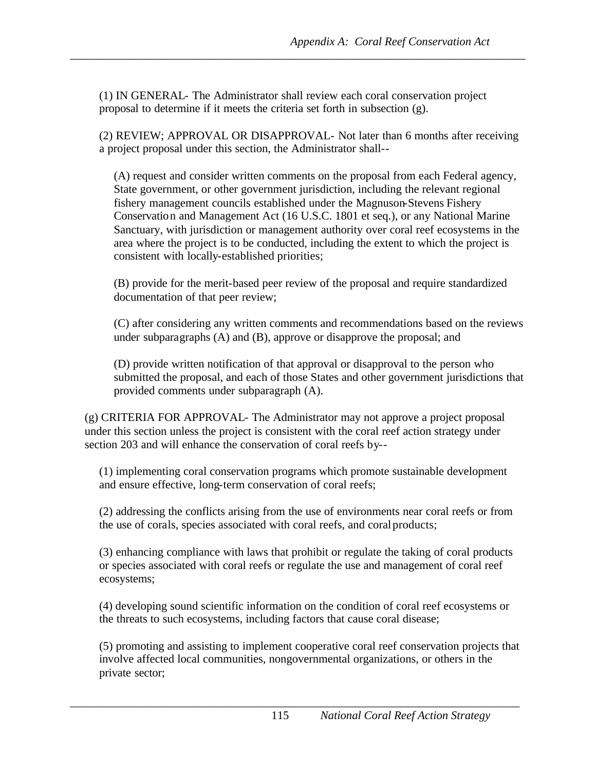(1) IN GENERAL- The Administrator shall review each coral conservation project proposal to determine if it meets the criteria set forth in subsection (g).

*\_\_\_\_\_\_\_\_\_\_\_\_\_\_\_\_\_\_\_\_\_\_\_\_\_\_\_\_\_\_\_\_\_\_\_\_\_\_\_\_\_\_\_\_\_\_\_\_\_\_\_\_\_\_\_\_\_\_\_\_\_\_\_\_\_\_\_\_\_\_\_\_\_\_\_\_\_\_* 

(2) REVIEW; APPROVAL OR DISAPPROVAL- Not later than 6 months after receiving a project proposal under this section, the Administrator shall--

*Appendix A: Coral Reef Conservation Act*<br>(1) IN GENERAL-The Administrator shall review each cont emergention project<br>proposal to determine If it meets the erterns are forth in subsection (g).<br>
2) REVIPWy, ANPOVMAT. ON DIS (A) request and consider written comments on the proposal from each Federal agency, State government, or other government jurisdiction, including the relevant regional fishery management councils established under the Magnuson-Stevens Fishery Conservation and Management Act (16 U.S.C. 1801 et seq.), or any National Marine Sanctuary, with jurisdiction or management authority over coral reef ecosystems in the area where the project is to be conducted, including the extent to which the project is consistent with locally-established priorities;

(B) provide for the merit-based peer review of the proposal and require standardized documentation of that peer review;

(C) after considering any written comments and recommendations based on the reviews under subparagraphs (A) and (B), approve or disapprove the proposal; and

(D) provide written notification of that approval or disapproval to the person who submitted the proposal, and each of those States and other government jurisdictions that provided comments under subparagraph (A).

(g) CRITERIA FOR APPROVAL- The Administrator may not approve a project proposal under this section unless the project is consistent with the coral reef action strategy under section 203 and will enhance the conservation of coral reefs by--

(1) implementing coral conservation programs which promote sustainable development and ensure effective, long-term conservation of coral reefs;

 the use of corals, species associated with coral reefs, and coralproducts; (2) addressing the conflicts arising from the use of environments near coral reefs or from

(3) enhancing compliance with laws that prohibit or regulate the taking of coral products or species associated with coral reefs or regulate the use and management of coral reef ecosystems;

(4) developing sound scientific information on the condition of coral reef ecosystems or the threats to such ecosystems, including factors that cause coral disease;

(5) promoting and assisting to implement cooperative coral reef conservation projects that involve affected local communities, nongovernmental organizations, or others in the private sector;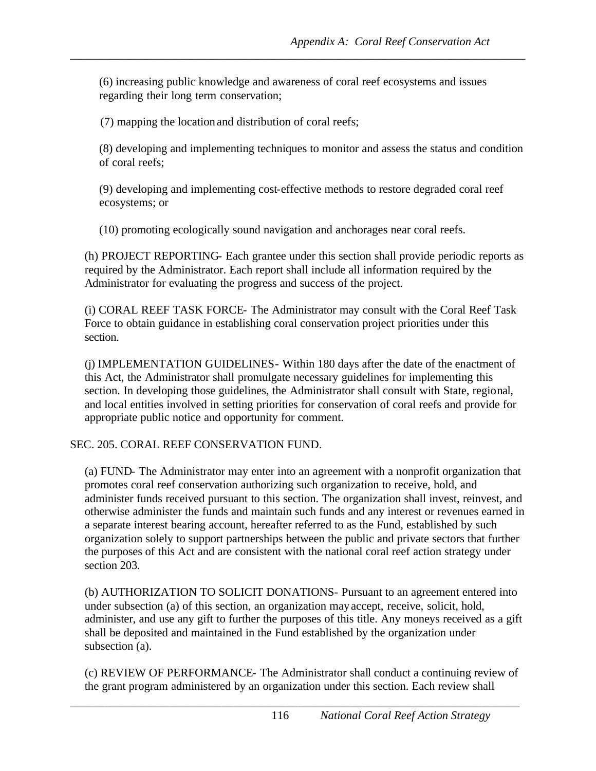(6) increasing public knowledge and awareness of coral reef ecosystems and issues regarding their long term conservation;

*\_\_\_\_\_\_\_\_\_\_\_\_\_\_\_\_\_\_\_\_\_\_\_\_\_\_\_\_\_\_\_\_\_\_\_\_\_\_\_\_\_\_\_\_\_\_\_\_\_\_\_\_\_\_\_\_\_\_\_\_\_\_\_\_\_\_\_\_\_\_\_\_\_\_\_\_\_\_* 

(7) mapping the location and distribution of coral reefs;

(8) developing and implementing techniques to monitor and assess the status and condition of coral reefs;

(9) developing and implementing cost-effective methods to restore degraded coral reef ecosystems; or

(10) promoting ecologically sound navigation and anchorages near coral reefs.

(h) PROJECT REPORTING- Each grantee under this section shall provide periodic reports as required by the Administrator. Each report shall include all information required by the Administrator for evaluating the progress and success of the project.

(i) CORAL REEF TASK FORCE- The Administrator may consult with the Coral Reef Task Force to obtain guidance in establishing coral conservation project priorities under this section.

(j) IMPLEMENTATION GUIDELINES- Within 180 days after the date of the enactment of this Act, the Administrator shall promulgate necessary guidelines for implementing this section. In developing those guidelines, the Administrator shall consult with State, regional, and local entities involved in setting priorities for conservation of coral reefs and provide for appropriate public notice and opportunity for comment.

SEC. 205. CORAL REEF CONSERVATION FUND.

*Appendix A: Coral Reef Conservation Act*<br>
(6) increasing pathlic knowledge and awareness of coral rest consystems and issues<br>
(7) mapping the location and distribution of coral refsi;<br>
(8) developing and implementing tech (a) FUND- The Administrator may enter into an agreement with a nonprofit organization that promotes coral reef conservation authorizing such organization to receive, hold, and administer funds received pursuant to this section. The organization shall invest, reinvest, and otherwise administer the funds and maintain such funds and any interest or revenues earned in a separate interest bearing account, hereafter referred to as the Fund, established by such organization solely to support partnerships between the public and private sectors that further the purposes of this Act and are consistent with the national coral reef action strategy under section 203.

(b) AUTHORIZATION TO SOLICIT DONATIONS- Pursuant to an agreement entered into under subsection (a) of this section, an organization mayaccept, receive, solicit, hold, administer, and use any gift to further the purposes of this title. Any moneys received as a gift shall be deposited and maintained in the Fund established by the organization under subsection (a).

(c) REVIEW OF PERFORMANCE- The Administrator shall conduct a continuing review of the grant program administered by an organization under this section. Each review shall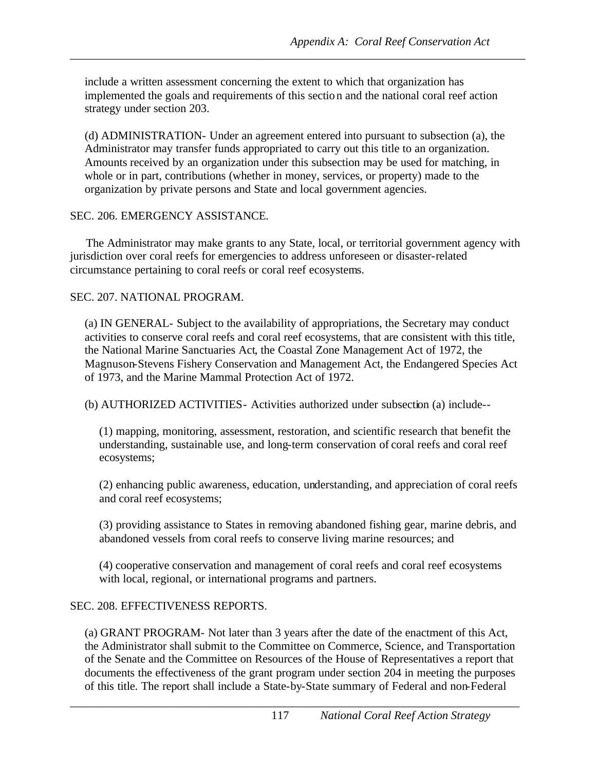include a written assessment concerning the extent to which that organization has implemented the goals and requirements of this section and the national coral reef action strategy under section 203.

*\_\_\_\_\_\_\_\_\_\_\_\_\_\_\_\_\_\_\_\_\_\_\_\_\_\_\_\_\_\_\_\_\_\_\_\_\_\_\_\_\_\_\_\_\_\_\_\_\_\_\_\_\_\_\_\_\_\_\_\_\_\_\_\_\_\_\_\_\_\_\_\_\_\_\_\_\_\_* 

(d) ADMINISTRATION- Under an agreement entered into pursuant to subsection (a), the Administrator may transfer funds appropriated to carry out this title to an organization. Amounts received by an organization under this subsection may be used for matching, in whole or in part, contributions (whether in money, services, or property) made to the organization by private persons and State and local government agencies.

#### SEC. 206. EMERGENCY ASSISTANCE.

 The Administrator may make grants to any State, local, or territorial government agency with jurisdiction over coral reefs for emergencies to address unforeseen or disaster-related circumstance pertaining to coral reefs or coral reef ecosystems.

## SEC. 207. NATIONAL PROGRAM.

*Appendix A: Coral Reef Conservation Act* include a written assessment concerning the catter to which that paramization has drainly using their section and the guassimum of this section and the nuttional coral red action o (a) IN GENERAL- Subject to the availability of appropriations, the Secretary may conduct activities to conserve coral reefs and coral reef ecosystems, that are consistent with this title, the National Marine Sanctuaries Act, the Coastal Zone Management Act of 1972, the Magnuson-Stevens Fishery Conservation and Management Act, the Endangered Species Act of 1973, and the Marine Mammal Protection Act of 1972.

(b) AUTHORIZED ACTIVITIES- Activities authorized under subsection (a) include--

(1) mapping, monitoring, assessment, restoration, and scientific research that benefit the understanding, sustainable use, and long-term conservation of coral reefs and coral reef ecosystems;

(2) enhancing public awareness, education, understanding, and appreciation of coral reefs and coral reef ecosystems;

(3) providing assistance to States in removing abandoned fishing gear, marine debris, and abandoned vessels from coral reefs to conserve living marine resources; and

(4) cooperative conservation and management of coral reefs and coral reef ecosystems with local, regional, or international programs and partners.

## SEC. 208. EFFECTIVENESS REPORTS.

(a) GRANT PROGRAM- Not later than 3 years after the date of the enactment of this Act, the Administrator shall submit to the Committee on Commerce, Science, and Transportation of the Senate and the Committee on Resources of the House of Representatives a report that documents the effectiveness of the grant program under section 204 in meeting the purposes of this title. The report shall include a State-by-State summary of Federal and non-Federal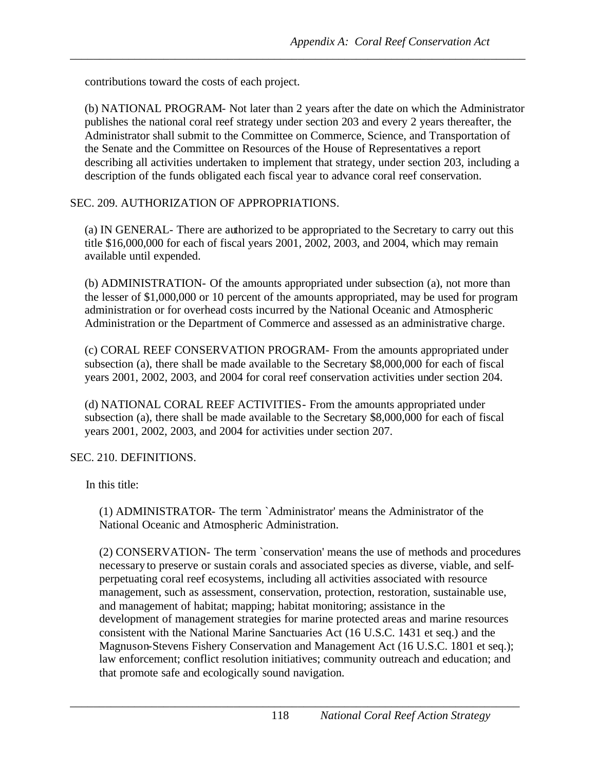contributions toward the costs of each project.

(b) NATIONAL PROGRAM- Not later than 2 years after the date on which the Administrator publishes the national coral reef strategy under section 203 and every 2 years thereafter, the Administrator shall submit to the Committee on Commerce, Science, and Transportation of the Senate and the Committee on Resources of the House of Representatives a report describing all activities undertaken to implement that strategy, under section 203, including a description of the funds obligated each fiscal year to advance coral reef conservation.

*\_\_\_\_\_\_\_\_\_\_\_\_\_\_\_\_\_\_\_\_\_\_\_\_\_\_\_\_\_\_\_\_\_\_\_\_\_\_\_\_\_\_\_\_\_\_\_\_\_\_\_\_\_\_\_\_\_\_\_\_\_\_\_\_\_\_\_\_\_\_\_\_\_\_\_\_\_\_* 

# SEC. 209. AUTHORIZATION OF APPROPRIATIONS.

(a) IN GENERAL- There are authorized to be appropriated to the Secretary to carry out this title \$16,000,000 for each of fiscal years 2001, 2002, 2003, and 2004, which may remain available until expended.

(b) ADMINISTRATION- Of the amounts appropriated under subsection (a), not more than the lesser of \$1,000,000 or 10 percent of the amounts appropriated, may be used for program administration or for overhead costs incurred by the National Oceanic and Atmospheric Administration or the Department of Commerce and assessed as an administrative charge.

(c) CORAL REEF CONSERVATION PROGRAM- From the amounts appropriated under subsection (a), there shall be made available to the Secretary \$8,000,000 for each of fiscal years 2001, 2002, 2003, and 2004 for coral reef conservation activities under section 204.

(d) NATIONAL CORAL REEF ACTIVITIES- From the amounts appropriated under subsection (a), there shall be made available to the Secretary \$8,000,000 for each of fiscal years 2001, 2002, 2003, and 2004 for activities under section 207.

## SEC. 210. DEFINITIONS.

In this title:

(1) ADMINISTRATOR- The term `Administrator' means the Administrator of the National Oceanic and Atmospheric Administration.

*Appendix A: Coral Reef Conservation Act*<br>
contributions toward the coras of each project.<br>
A NATOYAT PANA MAL Mot later than 2 years after the date on which the Administration<br>
publishes the number load to conserve the fl (2) CONSERVATION- The term `conservation' means the use of methods and procedures necessary to preserve or sustain corals and associated species as diverse, viable, and selfperpetuating coral reef ecosystems, including all activities associated with resource management, such as assessment, conservation, protection, restoration, sustainable use, and management of habitat; mapping; habitat monitoring; assistance in the development of management strategies for marine protected areas and marine resources consistent with the National Marine Sanctuaries Act (16 U.S.C. 1431 et seq.) and the Magnuson-Stevens Fishery Conservation and Management Act (16 U.S.C. 1801 et seq.); law enforcement; conflict resolution initiatives; community outreach and education; and that promote safe and ecologically sound navigation.